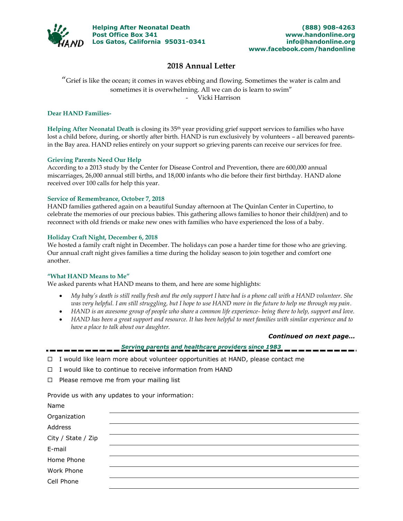

## **2018 Annual Letter**

"Grief is like the ocean; it comes in waves ebbing and flowing. Sometimes the water is calm and sometimes it is overwhelming. All we can do is learn to swim" - Vicki Harrison

## **Dear HAND Families-**

**Helping After Neonatal Death** is closing its 35th year providing grief support services to families who have lost a child before, during, or shortly after birth. HAND is run exclusively by volunteers – all bereaved parentsin the Bay area. HAND relies entirely on your support so grieving parents can receive our services for free.

## **Grieving Parents Need Our Help**

According to a 2013 study by the Center for Disease Control and Prevention, there are 600,000 annual miscarriages, 26,000 annual still births, and 18,000 infants who die before their first birthday. HAND alone received over 100 calls for help this year.

## **Service of Remembrance, October 7, 2018**

HAND families gathered again on a beautiful Sunday afternoon at The Quinlan Center in Cupertino, to celebrate the memories of our precious babies. This gathering allows families to honor their child(ren) and to reconnect with old friends or make new ones with families who have experienced the loss of a baby.

## **Holiday Craft Night, December 6, 2018**

We hosted a family craft night in December. The holidays can pose a harder time for those who are grieving. Our annual craft night gives families a time during the holiday season to join together and comfort one another.

### **"What HAND Means to Me"**

We asked parents what HAND means to them, and here are some highlights:

- *My baby's death is still really fresh and the only support I have had is a phone call with a HAND volunteer. She was very helpful. I am still struggling, but I hope to use HAND more in the future to help me through my pain.*
- *HAND is an awesome group of people who share a common life experience- being there to help, support and love.*
- *HAND has been a great support and resource. It has been helpful to meet families with similar experience and to have a place to talk about our daughter.*

### *Continued on next page…*

## *Serving parents and healthcare providers since 1983*

- $\Box$  I would like learn more about volunteer opportunities at HAND, please contact me
- $\Box$  I would like to continue to receive information from HAND
- $\Box$  Please remove me from your mailing list

Provide us with any updates to your information:

| Name               |  |  |
|--------------------|--|--|
| Organization       |  |  |
| Address            |  |  |
| City / State / Zip |  |  |
| E-mail             |  |  |
| Home Phone         |  |  |
| Work Phone         |  |  |
| Cell Phone         |  |  |